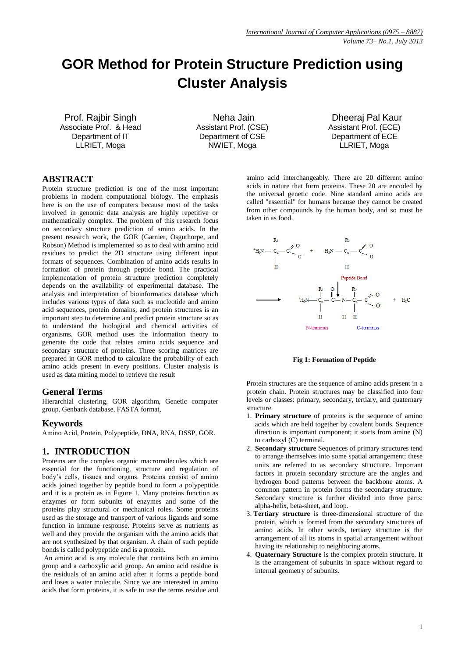# **GOR Method for Protein Structure Prediction using Cluster Analysis**

Prof. Rajbir Singh Associate Prof. & Head Department of IT LLRIET, Moga

Neha Jain Assistant Prof. (CSE) Department of CSE NWIET, Moga

Dheeraj Pal Kaur Assistant Prof. (ECE) Department of ECE LLRIET, Moga

## **ABSTRACT**

Protein structure prediction is one of the most important problems in modern computational biology. The emphasis here is on the use of computers because most of the tasks involved in genomic data analysis are highly repetitive or mathematically complex. The problem of this research focus on secondary structure prediction of amino acids. In the present research work, the GOR (Garnier, Osguthorpe, and Robson) Method is implemented so as to deal with amino acid residues to predict the 2D structure using different input formats of sequences. Combination of amino acids results in formation of protein through peptide bond. The practical implementation of protein structure prediction completely depends on the availability of experimental database. The analysis and interpretation of bioinformatics database which includes various types of data such as nucleotide and amino acid sequences, protein domains, and protein structures is an important step to determine and predict protein structure so as to understand the biological and chemical activities of organisms. GOR method uses the information theory to generate the code that relates amino acids sequence and secondary structure of proteins. Three scoring matrices are prepared in GOR method to calculate the probability of each amino acids present in every positions. Cluster analysis is used as data mining model to retrieve the result

## **General Terms**

Hierarchial clustering, GOR algorithm, Genetic computer group, Genbank database, FASTA format,

#### **Keywords**

Amino Acid, Protein, Polypeptide, DNA, RNA, DSSP, GOR.

## **1. INTRODUCTION**

Proteins are the complex organic macromolecules which are essential for the functioning, structure and regulation of body's cells, tissues and organs. Proteins consist of amino acids joined together by peptide bond to form a polypeptide and it is a protein as in Figure 1. Many proteins function as enzymes or form subunits of enzymes and some of the proteins play structural or mechanical roles. Some proteins used as the storage and transport of various ligands and some function in immune response. Proteins serve as nutrients as well and they provide the organism with the amino acids that are not synthesized by that organism. A chain of such peptide bonds is called polypeptide and is a protein.

An amino acid is any molecule that contains both an amino group and a carboxylic acid group. An amino acid residue is the residuals of an amino acid after it forms a peptide bond and loses a water molecule. Since we are interested in amino acids that form proteins, it is safe to use the terms residue and amino acid interchangeably. There are 20 different amino acids in nature that form proteins. These 20 are encoded by the universal [genetic code.](http://en.wikipedia.org/wiki/Genetic_code) Nine standard amino acids are called ["essential"](http://en.wikipedia.org/wiki/Amino_acid#In_human_nutrition) for humans because they cannot be created from other [compounds](http://en.wikipedia.org/wiki/Chemical_compound) by the human body, and so must be taken in as food.



#### **Fig 1: Formation of Peptide**

Protein structures are the sequence of amino acids present in a protein chain. Protein structures may be classified into four levels or classes: primary, secondary, tertiary, and quaternary structure.

- 1. **Primary structure** of proteins is the sequence of amino acids which are held together by covalent bonds. Sequence direction is important component; it starts from amine (N) to carboxyl (C) terminal.
- 2. **Secondary structure** Sequences of primary structures tend to arrange themselves into some spatial arrangement; these units are referred to as secondary structure. Important factors in protein secondary structure are the angles and hydrogen bond patterns between the backbone atoms. A common pattern in protein forms the secondary structure. Secondary structure is further divided into three parts: alpha-helix, beta-sheet, and loop.
- 3. **Tertiary structure** is three-dimensional structure of the protein, which is formed from the secondary structures of amino acids. In other words, tertiary structure is the arrangement of all its atoms in spatial arrangement without having its relationship to neighboring atoms.
- 4. **Quaternary Structure** is the complex protein structure. It is the arrangement of subunits in space without regard to internal geometry of subunits.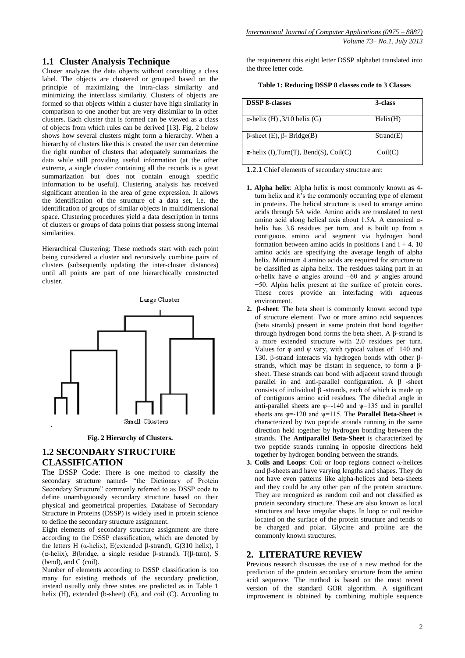## **1.1 Cluster Analysis Technique**

Cluster analyzes the data objects without consulting a class label. The objects are clustered or grouped based on the principle of maximizing the intra-class similarity and minimizing the interclass similarity. Clusters of objects are formed so that objects within a cluster have high similarity in comparison to one another but are very dissimilar to in other clusters. Each cluster that is formed can be viewed as a class of objects from which rules can be derived [13]. Fig. 2 below shows how several clusters might form a hierarchy. When a hierarchy of clusters like this is created the user can determine the right number of clusters that adequately summarizes the data while still providing useful information (at the other extreme, a single cluster containing all the records is a great summarization but does not contain enough specific information to be useful). Clustering analysis has received significant attention in the area of gene expression. It allows the identification of the structure of a data set, i.e. the identification of groups of similar objects in multidimensional space. Clustering procedures yield a data description in terms of clusters or groups of data points that possess strong internal similarities.

Hierarchical Clustering: These methods start with each point being considered a cluster and recursively combine pairs of clusters (subsequently updating the inter-cluster distances) until all points are part of one hierarchically constructed cluster.



**Fig. 2 Hierarchy of Clusters.**

# **1.2 SECONDARY STRUCTURE CLASSIFICATION**

The DSSP Code: There is one method to classify the secondary structure named- "the Dictionary of Protein Secondary Structure" commonly referred to as DSSP code to define unambiguously secondary structure based on their physical and geometrical properties. Database of Secondary Structure in Proteins (DSSP) is widely used in protein science to define the secondary structure assignment.

Eight elements of secondary structure assignment are there according to the DSSP classification, which are denoted by the letters H (α-helix), E(extended β-strand), G(310 helix), I (α-helix), B(bridge, a single residue β-strand), T(β-turn), S (bend), and C (coil).

Number of elements according to DSSP classification is too many for existing methods of the secondary prediction, instead usually only three states are predicted as in Table 1 helix (H), extended (b-sheet) (E), and coil (C). According to

the requirement this eight letter DSSP alphabet translated into the three letter code.

| Table 1: Reducing DSSP 8 classes code to 3 Classes |  |  |  |
|----------------------------------------------------|--|--|--|
|----------------------------------------------------|--|--|--|

| <b>DSSP 8-classes</b>                       | 3-class   |
|---------------------------------------------|-----------|
| $\alpha$ -helix (H), 3/10 helix (G)         | Helix(H)  |
| $\beta$ -sheet (E), $\beta$ - Bridge(B)     | Strand(E) |
| $\pi$ -helix (I), Turn(T), Bend(S), Coil(C) | Coil(C)   |

1.2.1 Chief elements of secondary structure are:

- **1. Alpha helix**: Alpha helix is most commonly known as 4 turn helix and it's the commonly occurring type of element in proteins. The helical structure is used to arrange amino acids through 5A wide. Amino acids are translated to next amino acid along helical axis about 1.5A. A canonical αhelix has 3.6 residues per turn, and is built up from a contiguous amino acid segment via hydrogen bond formation between amino acids in positions i and  $i + 4$ . 10 amino acids are specifying the average length of alpha helix. Minimum 4 amino acids are required for structure to be classified as alpha helix. The residues taking part in an *α*-helix have *φ* angles around −60 and *ψ* angles around −50. Alpha helix present at the surface of protein cores. These cores provide an interfacing with aqueous environment.
- **2. β-sheet**: The beta sheet is commonly known second type of structure element. Two or more amino acid sequences (beta strands) present in same protein that bond together through hydrogen bond forms the beta sheet. A β-strand is a more extended structure with 2.0 residues per turn. Values for  $\varphi$  and  $\psi$  vary, with typical values of  $-140$  and 130. β-strand interacts via hydrogen bonds with other βstrands, which may be distant in sequence, to form a βsheet. These strands can bond with adjacent strand through parallel in and anti-parallel configuration. A β -sheet consists of individual β -strands, each of which is made up of contiguous amino acid residues. The dihedral angle in anti-parallel sheets are  $\varphi = -140$  and  $\psi = 135$  and in parallel sheets are  $\varphi$ =-120 and  $\psi$ =115. The **Parallel Beta-Sheet** is characterized by two peptide strands running in the same direction held together by hydrogen bonding between the strands. The **Antiparallel Beta-Sheet** is characterized by two peptide strands running in opposite directions held together by hydrogen bonding between the strands.
- **3. Coils and Loops**: Coil or loop regions connect α-helices and β-sheets and have varying lengths and shapes. They do not have even patterns like alpha-helices and beta-sheets and they could be any other part of the protein structure. They are recognized as random coil and not classified as protein secondary structure. These are also known as local structures and have irregular shape. In loop or coil residue located on the surface of the protein structure and tends to be charged and polar. Glycine and proline are the commonly known structures.

## **2. LITERATURE REVIEW**

Previous research discusses the use of a new method for the prediction of the protein secondary structure from the amino acid sequence. The method is based on the most recent version of the standard GOR algorithm. A significant improvement is obtained by combining multiple sequence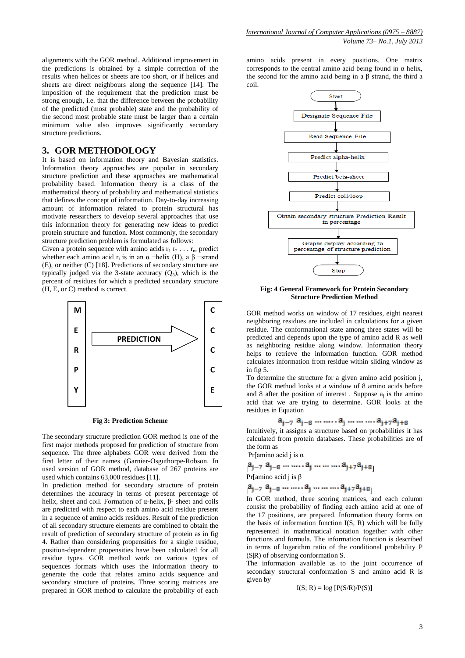alignments with the GOR method. Additional improvement in the predictions is obtained by a simple correction of the results when helices or sheets are too short, or if helices and sheets are direct neighbours along the sequence [14]. The imposition of the requirement that the prediction must be strong enough, i.e. that the difference between the probability of the predicted (most probable) state and the probability of the second most probable state must be larger than a certain minimum value also improves significantly secondary structure predictions.

#### **3. GOR METHODOLOGY**

It is based on information theory and Bayesian statistics. Information theory approaches are popular in secondary structure prediction and these approaches are mathematical probability based. Information theory is a class of the mathematical theory of probability and mathematical statistics that defines the concept of information. Day-to-day increasing amount of information related to protein structural has motivate researchers to develop several approaches that use this information theory for generating new ideas to predict protein structure and function. Most commonly, the secondary structure prediction problem is formulated as follows:

Given a protein sequence with amino acids  $r_1 r_2 \ldots r_n$ , predict whether each amino acid  $r_i$  is in an  $\alpha$  -helix (H), a  $\beta$  -strand (E), or neither (C) [18]. Predictions of secondary structure are typically judged via the 3-state accuracy  $(Q_3)$ , which is the percent of residues for which a predicted secondary structure (H, E, or C) method is correct.



**Fig 3: Prediction Scheme**

The secondary structure prediction GOR method is one of the **C C** first major methods proposed for prediction of structure from sequence. The three alphabets GOR were derived from the first letter of their names (Garnier-Osguthorpe-Robson. In used version of GOR method, database of 267 proteins are **… …** used which contains 63,000 residues [11].

In prediction method for secondary structure of protein determines the accuracy in terms of present percentage of helix, sheet and coil. Formation of α-helix, β- sheet and coils are predicted with respect to each amino acid residue present in a sequence of amino acids residues. Result of the prediction of all secondary structure elements are combined to obtain the result of prediction of secondary structure of protein as in fig 4. Rather than considering propensities for a single residue, position-dependent propensities have been calculated for all residue types. GOR method work on various types of sequences formats which uses the information theory to generate the code that relates amino acids sequence and secondary structure of proteins. Three scoring matrices are prepared in GOR method to calculate the probability of each amino acids present in every positions. One matrix corresponds to the central amino acid being found in  $\alpha$  helix, the second for the amino acid being in a β strand, the third a coil.



**Fig: 4 General Framework for Protein Secondary Structure Prediction Method**

GOR method works on window of 17 residues, eight nearest neighboring residues are included in calculations for a given residue. The conformational state among three states will be predicted and depends upon the type of amino acid R as well as neighboring residue along window. Information theory helps to retrieve the information function. GOR method calculates information from residue within sliding window as in fig 5.

To determine the structure for a given amino acid position j, the GOR method looks at a window of 8 amino acids before and 8 after the position of interest. Suppose  $a_j$  is the amino acid that we are trying to determine. GOR looks at the residues in Equation

$$
a_{j-7} a_{j-8} \dots \dots a_j \dots \dots a_{j+7} a_{j+8}
$$

Intuitively, it assigns a structure based on probabilities it has calculated from protein databases. These probabilities are of the form as Pr[amino acid i is α

$$
a_{j-7} a_{j-8} \dots \dots a_j \dots \dots a_{j+7} a_{j+8}
$$
  
Pr[amino acid j is  $\beta$   

$$
a_{j-7} a_{j-8} \dots \dots a_j \dots \dots a_{j+7} a_{j+8}
$$

In GOR method, three scoring matrices, and each column consist the probability of finding each amino acid at one of the 17 positions, are prepared. Information theory forms on the basis of information function I(S, R) which will be fully represented in mathematical notation together with other functions and formula. The information function is described in terms of logarithm ratio of the conditional probability P (S|R) of observing conformation S.

The information available as to the joint occurrence of secondary structural conformation S and amino acid R is given by

$$
I(S; R) = \log [P(S/R)/P(S)]
$$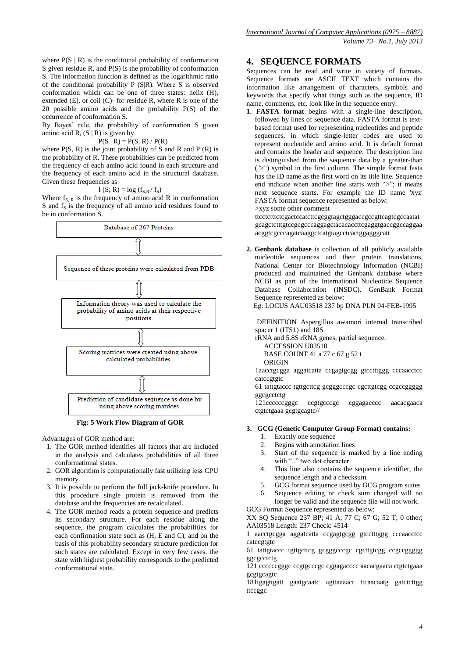where  $P(S | R)$  is the conditional probability of conformation S given residue R*,* and P(S) is the probability of conformation S. The information function is defined as the logarithmic ratio of the conditional probability P (S|R). Where S is observed conformation which can be one of three states*:* helix (H), extended (E), or coil (C)- for residue R, where R is one of the 20 possible amino acids and the probability P(S) of the occurrence of conformation S.

By Bayes' rule, the probability of conformation S given amino acid R,  $(S | R)$  is given by

$$
P(S | R) = P(S, R) / P(R)
$$

where  $P(S, R)$  is the joint probability of S and R and P (R) is the probability of R. These probabilities can be predicted from the frequency of each amino acid found in each structure and the frequency of each amino acid in the structural database. Given these frequencies as

$$
I(S; R) = \log (f_{S,R} / f_S)
$$

Where  $f_{S, R}$  is the frequency of amino acid R in conformation  $S$  and  $f_S$  is the frequency of all amino acid residues found to be in conformation S.



**Fig: 5 Work Flow Diagram of GOR**

Advantages of GOR method are:

- 1. The GOR method identifies all factors that are included in the analysis and calculates probabilities of all three conformational states.
- 2. GOR algorithm is computationally fast utilizing less CPU memory.
- 3. It is possible to perform the full jack-knife procedure. In this procedure single protein is removed from the database and the frequencies are recalculated.
- 4. The GOR method reads a protein sequence and predicts its secondary structure. For each residue along the sequence, the program calculates the probabilities for each confirmation state such as (H, E and C), and on the basis of this probability secondary structure prediction for such states are calculated. Except in very few cases, the state with highest probability corresponds to the predicted conformational state.

## **4. SEQUENCE FORMATS**

Sequences can be read and write in variety of formats. Sequence formats are ASCII TEXT which contains the information like arrangement of characters, symbols and keywords that specify what things such as the sequence, ID name, comments, etc. look like in the sequence entry.

**1. FASTA format** begins with a single-line description, followed by lines of sequence data. FASTA format is textbased format used for representing nucleotides and peptide sequences, in which single-letter codes are used to represent nucleotide and amino acid. It is default format and contains the header and sequence. The description line is distinguished from the sequence data by a greater-than (">") symbol in the first column. The simple format fasta has the ID name as the first word on its title line. Sequence end indicate when another line starts with ">"; it means next sequence starts. For example the ID name 'xyz' FASTA format sequence represented as below: >xyz some other comment

ttcctctttctcgactccatcttcgcggtagctgggaccgccgttcagtcgccaatat gcagctctttgtccgcgcccaggagctacacaccttcgaggtgaccggccaggaa acggtcgcccagatcaaggctcatgtagcctcactggagggcatt

**2. Genbank database** is collection of all publicly available nucleotide sequences and their protein translations. National Center for Biotechnology Information (NCBI) produced and maintained the Genbank database where NCBI as part of the International Nucleotide Sequence Database Collaboration (INSDC). GenBank Format Sequence represented as below:

Eg: LOCUS AAU03518 237 bp DNA PLN 04-FEB-1995

DEFINITION Aspergillus awamori internal transcribed spacer 1 (ITS1) and 18S

rRNA and 5.8S rRNA genes, partial sequence.

 ACCESSION U03518 BASE COUNT 41 a 77 c 67 g 52 t ORIGIN

1aacctgcgga aggatcatta ccgagtgcgg gtcctttggg cccaacctcc catccgtgtc

61 tattgtaccc tgttgcttcg gcgggcccgc cgcttgtcgg ccgccggggg ggcgcctctg

121ccccccgggc ccgtgcccgc cggagacccc aacacgaaca ctgtctgaaa gcgtgcagtc//

#### **3. GCG (Genetic Computer Group Format) contains:**

- 1. Exactly one sequence
- 2. Begins with annotation lines
- 3. Start of the sequence is marked by a line ending with ".." two dot character
- 4. This line also contains the sequence identifier, the sequence length and a checksum.
- 5. GCG format sequence used by GCG program suites
- 6. Sequence editing or check sum changed will no longer be valid and the sequence file will not work.

GCG Format Sequence represented as below:

XX SQ Sequence 237 BP; 41 A; 77 C; 67 G; 52 T; 0 other; AA03518 Length: 237 Check: 4514

1 aacctgcgga aggatcatta ccgagtgcgg gtcctttggg cccaacctcc catccgtgtc

61 tattgtaccc tgttgcttcg gcgggcccgc cgcttgtcgg ccgccggggg ggcgcctctg

121 ccccccgggc ccgtgcccgc cggagacccc aacacgaaca ctgtctgaaa gcgtgcagtc

181tgagttgatt gaatgcaatc agttaaaact ttcaacaatg gatctcttgg ttccggc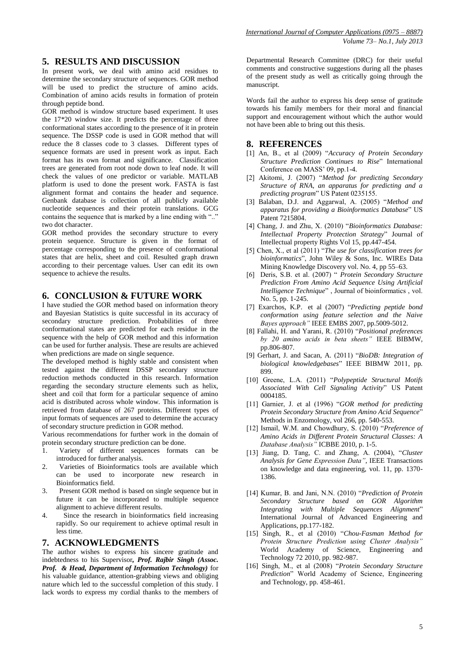# **5. RESULTS AND DISCUSSION**

In present work, we deal with amino acid residues to determine the secondary structure of sequences. GOR method will be used to predict the structure of amino acids. Combination of amino acids results in formation of protein through peptide bond.

GOR method is window structure based experiment. It uses the 17\*20 window size. It predicts the percentage of three conformational states according to the presence of it in protein sequence. The DSSP code is used in GOR method that will reduce the 8 classes code to 3 classes. Different types of sequence formats are used in present work as input. Each format has its own format and significance. Classification trees are generated from root node down to leaf node. It will check the values of one predictor or variable. MATLAB platform is used to done the present work. FASTA is fast alignment format and contains the header and sequence. Genbank database is collection of all publicly available nucleotide sequences and their protein translations. GCG contains the sequence that is marked by a line ending with ".." two dot character.

GOR method provides the secondary structure to every protein sequence. Structure is given in the format of percentage corresponding to the presence of conformational states that are helix, sheet and coil. Resulted graph drawn according to their percentage values. User can edit its own sequence to achieve the results.

## **6. CONCLUSION & FUTURE WORK**

I have studied the GOR method based on information theory and Bayesian Statistics is quite successful in its accuracy of secondary structure prediction. Probabilities of three conformational states are predicted for each residue in the sequence with the help of GOR method and this information can be used for further analysis. These are results are achieved when predictions are made on single sequence.

The developed method is highly stable and consistent when tested against the different DSSP secondary structure reduction methods conducted in this research. Information regarding the secondary structure elements such as helix, sheet and coil that form for a particular sequence of amino acid is distributed across whole window. This information is retrieved from database of 267 proteins. Different types of input formats of sequences are used to determine the accuracy of secondary structure prediction in GOR method.

Various recommendations for further work in the domain of protein secondary structure prediction can be done.

- 1. Variety of different sequences formats can be introduced for further analysis.
- 2. Varieties of Bioinformatics tools are available which can be used to incorporate new research in Bioinformatics field.
- 3. Present GOR method is based on single sequence but in future it can be incorporated to multiple sequence alignment to achieve different results.
- 4. Since the research in bioinformatics field increasing rapidly. So our requirement to achieve optimal result in less time.

## **7. ACKNOWLEDGMENTS**

The author wishes to express his sincere gratitude and indebtedness to his Supervisor*, Prof. Rajbir Singh (Assoc. Prof. & Head, Department of Information Technology)* for his valuable guidance, attention-grabbing views and obliging nature which led to the successful completion of this study. I lack words to express my cordial thanks to the members of Departmental Research Committee (DRC) for their useful comments and constructive suggestions during all the phases of the present study as well as critically going through the manuscript.

Words fail the author to express his deep sense of gratitude towards his family members for their moral and financial support and encouragement without which the author would not have been able to bring out this thesis.

#### **8. REFERENCES**

- [1] An, B., et al (2009) "*Accuracy of Protein Secondary Structure Prediction Continues to Rise*" International Conference on MASS' 09, pp.1-4.
- [2] Akitomi, J. (2007) "*Method for predicting Secondary Structure of RNA, an apparatus for predicting and a predicting program*" US Patent 0235155.
- [3] Balaban, D.J. and Aggarwal, A. (2005) "*Method and apparatus for providing a Bioinformatics Database*" US Patent 7215804.
- [4] Chang, J. and Zhu, X. (2010) "*Bioinformatics Database: Intellectual Property Protection Strategy*" Journal of Intellectual property Rights Vol 15, pp.447-454.
- [5] Chen, X., et al (2011) "*The use for classification trees for bioinformatics*", John Wiley & Sons, Inc. WIREs Data Mining Knowledge Discovery vol. No. 4, pp 55–63.
- [6] Deris, S.B. et al. (2007) " *Protein Secondary Structure Prediction From Amino Acid Sequence Using Artificial Intelligence Technique*" , Journal of bioinformatics , vol. No. 5, pp. 1-245.
- [7] [Exarchos, K.P. e](http://ieeexplore.ieee.org/search/searchresult.jsp?searchWithin=p_Authors:.QT.Exarchos,%20K.P..QT.&newsearch=partialPref)t al (2007) "*Predicting peptide bond conformation using feature selection and the Naive Bayes approach"* IEEE EMBS 2007, pp.5009-5012.
- [8] Fallahi, H. and Yarani, R. (2010) "*Positional preferences by 20 amino acids in beta sheets"* IEEE BIBMW, pp.806-807.
- [9] Gerhart, J. and [Sacan, A. \(](http://ieeexplore.ieee.org/search/searchresult.jsp?searchWithin=p_Authors:.QT.Sacan,%20A..QT.&newsearch=partialPref)2011) "*BioDB: Integration of biological knowledgebases*" IEEE BIBMW 2011, pp. 899.
- [10] Greene, L.A. (2011) "*Polypeptide Structural Motifs Associated With Cell Signaling Activity*" US Patent 0004185.
- [11] Garnier, J. et al (1996) "*GOR method for predicting Protein Secondary Structure from Amino Acid Sequence*" Methods in Enzomology, vol 266, pp. 540-553.
- [12] Ismail, W.M. and Chowdhury, S. (2010) "*Preference of Amino Acids in Different Protein Structural Classes: A Database Analysis"* ICBBE 2010, p. 1-5.
- [13] Jiang, D. Tang, C. and Zhang, A. (2004), "*Cluster Analysis for Gene Expression Data"*, IEEE Transactions on knowledge and data engineering, vol. 11, pp. 1370- 1386.
- [14] Kumar, B. and Jani, N.N. (2010) "*Prediction of Protein Secondary Structure based on GOR Algorithm Integrating with Multiple Sequences Alignment*" International Journal of Advanced Engineering and Applications, pp.177-182.
- [15] Singh, R., et al (2010) "*Chou-Fasman Method for Protein Structure Prediction using Cluster Analysis"* World Academy of Science, Engineering and Technology 72 2010, pp. 982-987.
- [16] Singh, M., et al (2008) "*Protein Secondary Structure Prediction*" World Academy of Science, Engineering and Technology, pp. 458-461.